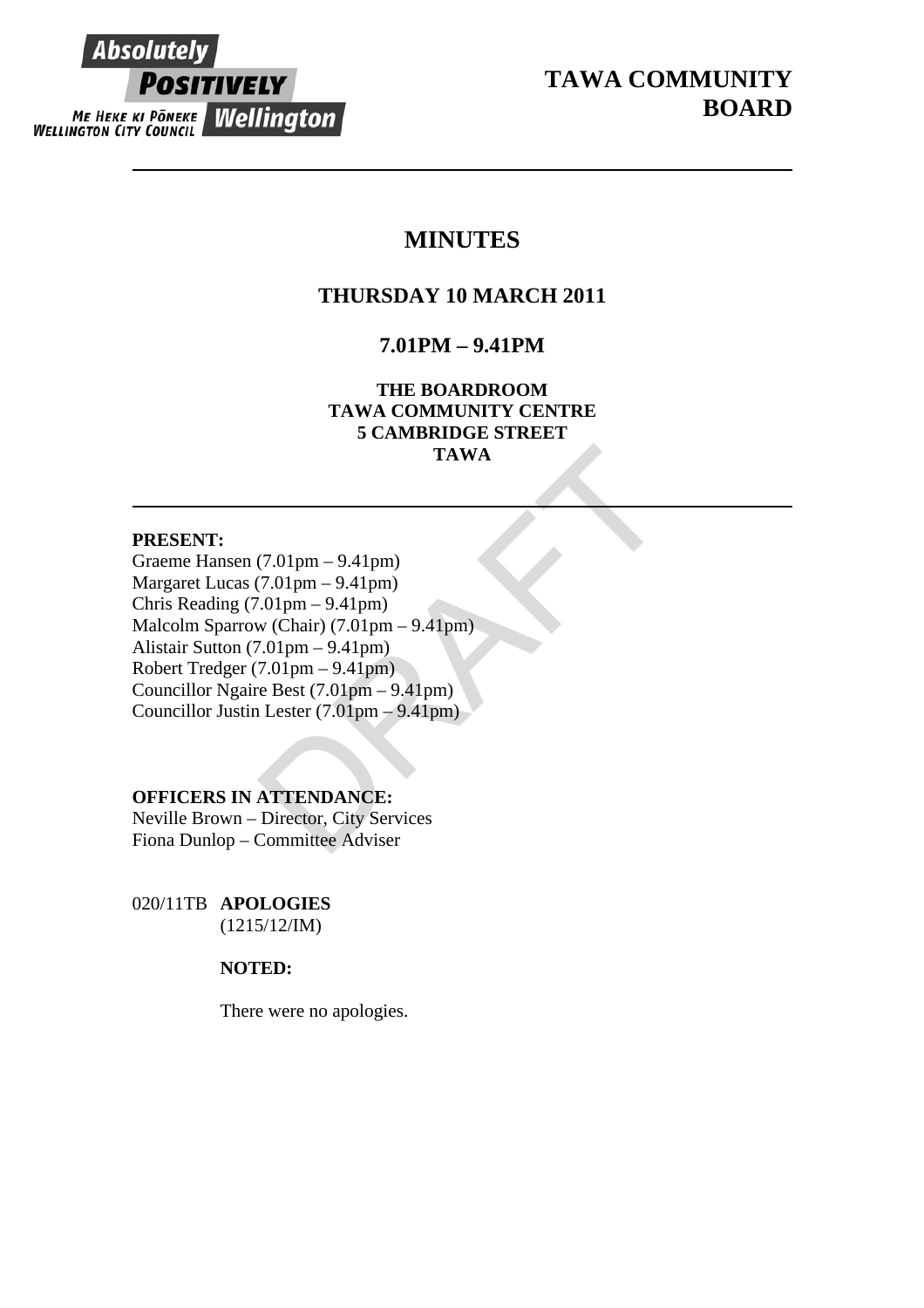## **Absolutely POSITIVELY ME HEKE KI PÖNEKE Wellington**

## **MINUTES**

## **THURSDAY 10 MARCH 2011**

## **7.01PM – 9.41PM**

**THE BOARDROOM TAWA COMMUNITY CENTRE 5 CAMBRIDGE STREET TAWA** 

#### **PRESENT:**

TAWA<br>
(7.01pm – 9.41pm)<br>
(7.01pm – 9.41pm)<br>
(0.01pm – 9.41pm)<br>
w (Chair) (7.01pm – 9.41pm)<br>
7.01pm – 9.41pm)<br>
7.01pm – 9.41pm)<br>
e Best (7.01pm – 9.41pm)<br>
Lester (7.01pm – 9.41pm)<br>
Lester (7.01pm – 9.41pm)<br>
ATTENDANCE:<br>
Dir Graeme Hansen (7.01pm – 9.41pm) Margaret Lucas (7.01pm – 9.41pm) Chris Reading (7.01pm – 9.41pm) Malcolm Sparrow (Chair) (7.01pm – 9.41pm) Alistair Sutton (7.01pm – 9.41pm) Robert Tredger (7.01pm – 9.41pm) Councillor Ngaire Best (7.01pm – 9.41pm) Councillor Justin Lester (7.01pm – 9.41pm)

#### **OFFICERS IN ATTENDANCE:**

Neville Brown – Director, City Services Fiona Dunlop – Committee Adviser

020/11TB **APOLOGIES**  (1215/12/IM)

#### **NOTED:**

There were no apologies.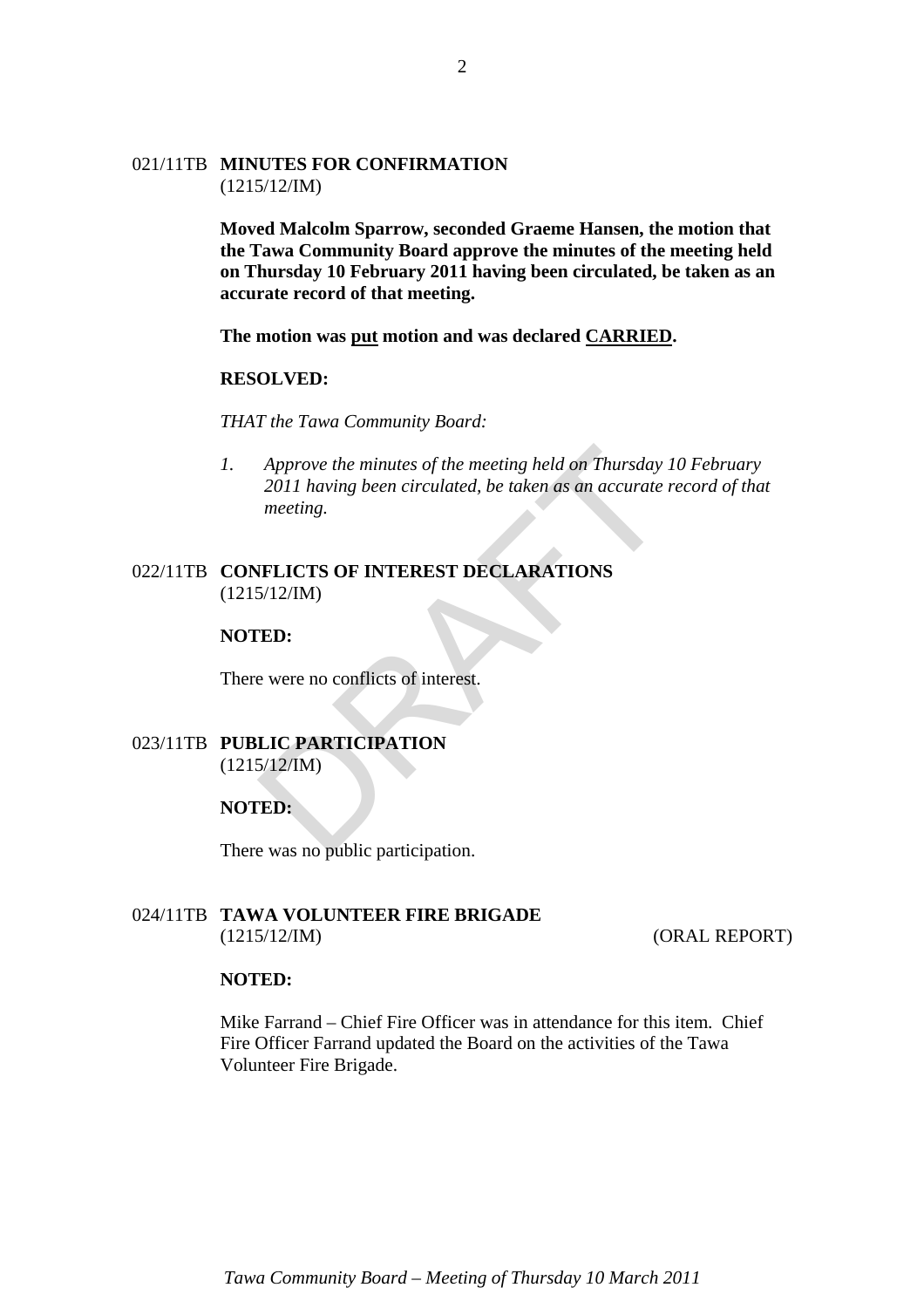#### 021/11TB **MINUTES FOR CONFIRMATION** (1215/12/IM)

**Moved Malcolm Sparrow, seconded Graeme Hansen, the motion that the Tawa Community Board approve the minutes of the meeting held on Thursday 10 February 2011 having been circulated, be taken as an accurate record of that meeting.** 

**The motion was put motion and was declared CARRIED.**

#### **RESOLVED:**

*THAT the Tawa Community Board:* 

Approve the minutes of the meeting held on Thursday<br>2011 having been circulated, be taken as an accurate<br>meeting.<br>NELICTS OF INTEREST DECLARATIONS<br>5/12/IM)<br>ED:<br>LIC PARTICIPATION<br>5/12/IM)<br>ED:<br>e was no public participation *1. Approve the minutes of the meeting held on Thursday 10 February 2011 having been circulated, be taken as an accurate record of that meeting.* 

#### 022/11TB **CONFLICTS OF INTEREST DECLARATIONS** (1215/12/IM)

#### **NOTED:**

There were no conflicts of interest.

#### 023/11TB **PUBLIC PARTICIPATION** (1215/12/IM)

#### **NOTED:**

There was no public participation.

#### 024/11TB **TAWA VOLUNTEER FIRE BRIGADE** (1215/12/IM) (ORAL REPORT)

#### **NOTED:**

Mike Farrand – Chief Fire Officer was in attendance for this item. Chief Fire Officer Farrand updated the Board on the activities of the Tawa Volunteer Fire Brigade.

2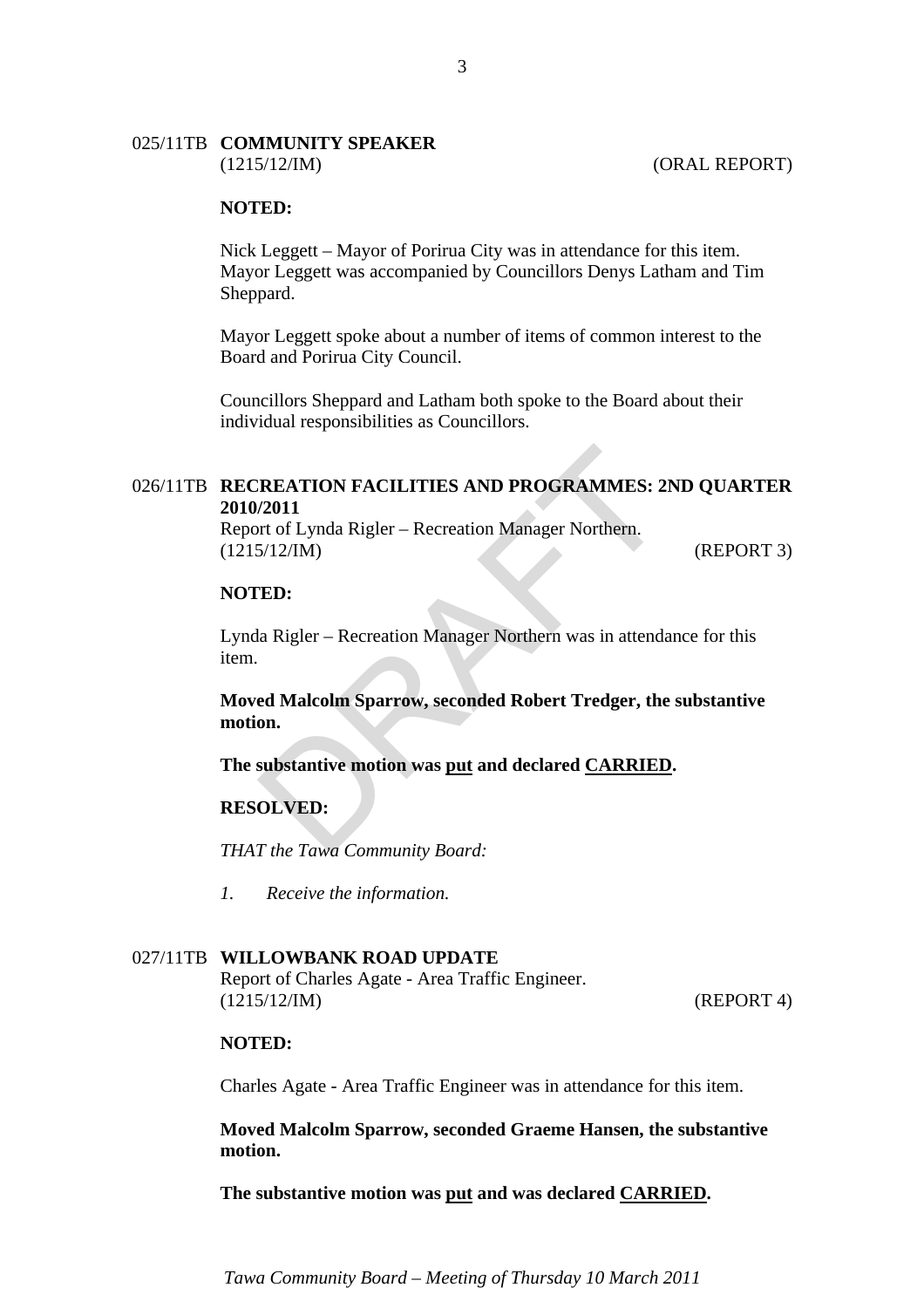### 025/11TB **COMMUNITY SPEAKER**

#### **NOTED:**

Nick Leggett – Mayor of Porirua City was in attendance for this item. Mayor Leggett was accompanied by Councillors Denys Latham and Tim Sheppard.

Mayor Leggett spoke about a number of items of common interest to the Board and Porirua City Council.

Councillors Sheppard and Latham both spoke to the Board about their individual responsibilities as Councillors.

# **THEATION FACILITIES AND PROGRAMMES: 2**<br>
12011<br>
12011<br>
1212/IM)<br>
1212/IM)<br> **ED:**<br>
12. Rigler – Recreation Manager Northern was in attendant<br>
12. Rigler – Recreation Manager Northern was in attendant<br>
12. Rigler – Recreatio 026/11TB **RECREATION FACILITIES AND PROGRAMMES: 2ND QUARTER 2010/2011**

Report of Lynda Rigler – Recreation Manager Northern. (1215/12/IM) (REPORT 3)

#### **NOTED:**

Lynda Rigler – Recreation Manager Northern was in attendance for this item.

**Moved Malcolm Sparrow, seconded Robert Tredger, the substantive motion.** 

#### **The substantive motion was put and declared CARRIED.**

#### **RESOLVED:**

*THAT the Tawa Community Board:* 

*1. Receive the information.* 

#### 027/11TB **WILLOWBANK ROAD UPDATE**

Report of Charles Agate - Area Traffic Engineer. (1215/12/IM) (REPORT 4)

#### **NOTED:**

Charles Agate - Area Traffic Engineer was in attendance for this item.

**Moved Malcolm Sparrow, seconded Graeme Hansen, the substantive motion.** 

**The substantive motion was put and was declared CARRIED.** 

*Tawa Community Board – Meeting of Thursday 10 March 2011*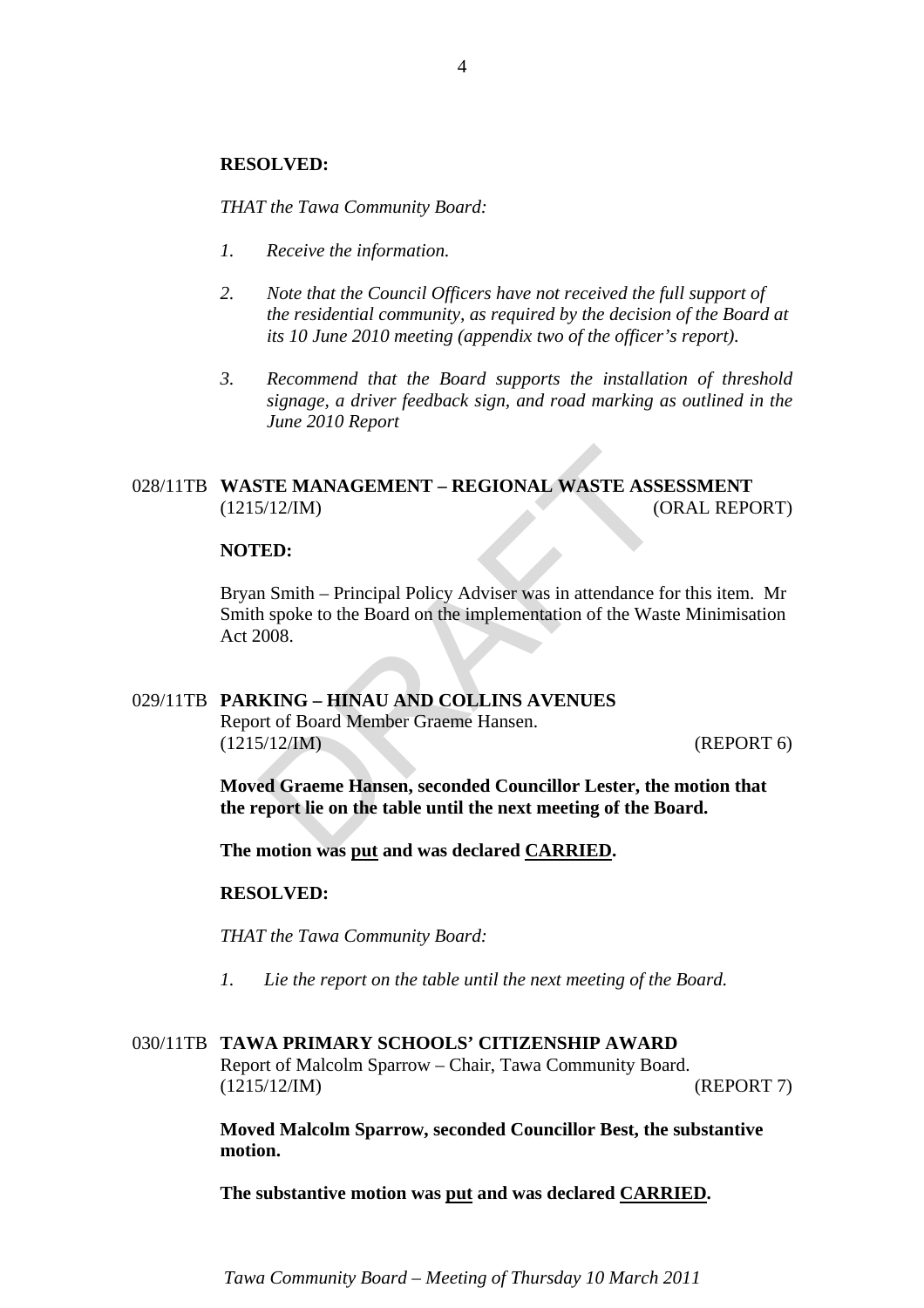#### **RESOLVED:**

*THAT the Tawa Community Board:* 

- *1. Receive the information.*
- *2. Note that the Council Officers have not received the full support of the residential community, as required by the decision of the Board at its 10 June 2010 meeting (appendix two of the officer's report).*
- *3. Recommend that the Board supports the installation of threshold signage, a driver feedback sign, and road marking as outlined in the June 2010 Report*

#### 028/11TB **WASTE MANAGEMENT – REGIONAL WASTE ASSESSMENT** (1215/12/IM) (ORAL REPORT)

#### **NOTED:**

STE MANAGEMENT – REGIONAL WASTE ASSI<br>
5/12/IM) (C<br>
TED:<br>
n Smith – Principal Policy Adviser was in attendance for<br>
h spoke to the Board on the implementation of the Was<br>
2008.<br> **KING – HINAU AND COLLINS AVENUES**<br>
rt of Boa Bryan Smith – Principal Policy Adviser was in attendance for this item. Mr Smith spoke to the Board on the implementation of the Waste Minimisation Act 2008.

#### 029/11TB **PARKING – HINAU AND COLLINS AVENUES**

Report of Board Member Graeme Hansen. (1215/12/IM) (REPORT 6)

**Moved Graeme Hansen, seconded Councillor Lester, the motion that the report lie on the table until the next meeting of the Board.** 

**The motion was put and was declared CARRIED.** 

#### **RESOLVED:**

*THAT the Tawa Community Board:* 

*1. Lie the report on the table until the next meeting of the Board.* 

#### 030/11TB **TAWA PRIMARY SCHOOLS' CITIZENSHIP AWARD**

Report of Malcolm Sparrow – Chair, Tawa Community Board. (1215/12/IM) (REPORT 7)

**Moved Malcolm Sparrow, seconded Councillor Best, the substantive motion.** 

**The substantive motion was put and was declared CARRIED.** 

*Tawa Community Board – Meeting of Thursday 10 March 2011*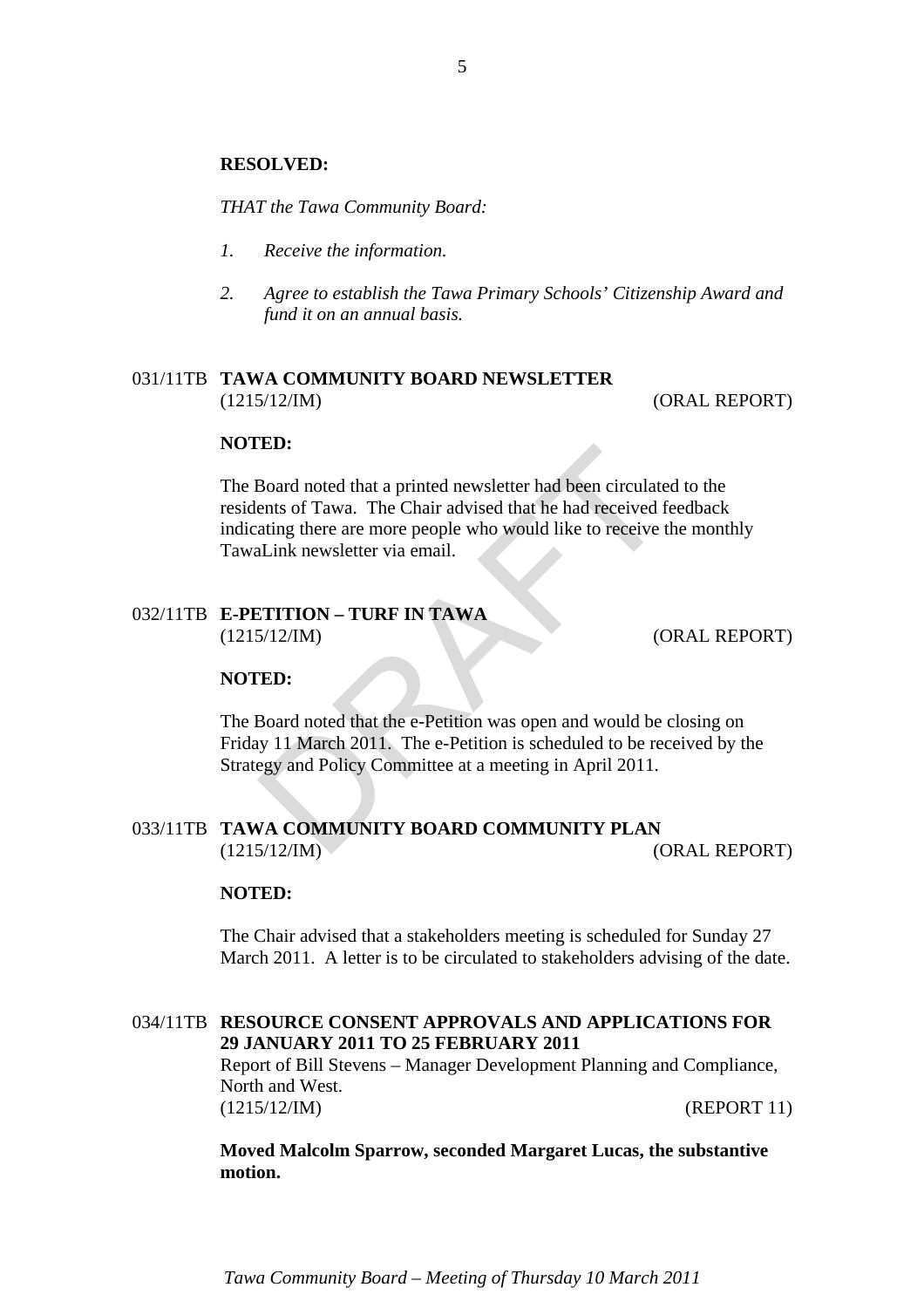#### **RESOLVED:**

*THAT the Tawa Community Board:* 

- *1. Receive the information.*
- *2. Agree to establish the Tawa Primary Schools' Citizenship Award and fund it on an annual basis.*

#### 031/11TB **TAWA COMMUNITY BOARD NEWSLETTER** (1215/12/IM) (ORAL REPORT)

#### **NOTED:**

**ED:**<br>
Board noted that a printed newsletter had been circulatents of Tawa. The Chair advised that he had received f<br>
ating there are more people who would like to receive t<br>
Link newsletter via email.<br>
ETITION – TURF IN T The Board noted that a printed newsletter had been circulated to the residents of Tawa. The Chair advised that he had received feedback indicating there are more people who would like to receive the monthly TawaLink newsletter via email.

#### 032/11TB **E-PETITION – TURF IN TAWA** (1215/12/IM) (ORAL REPORT)

#### **NOTED:**

The Board noted that the e-Petition was open and would be closing on Friday 11 March 2011. The e-Petition is scheduled to be received by the Strategy and Policy Committee at a meeting in April 2011.

#### 033/11TB **TAWA COMMUNITY BOARD COMMUNITY PLAN** (1215/12/IM) (ORAL REPORT)

#### **NOTED:**

The Chair advised that a stakeholders meeting is scheduled for Sunday 27 March 2011. A letter is to be circulated to stakeholders advising of the date.

#### 034/11TB **RESOURCE CONSENT APPROVALS AND APPLICATIONS FOR 29 JANUARY 2011 TO 25 FEBRUARY 2011**

Report of Bill Stevens – Manager Development Planning and Compliance, North and West. (1215/12/IM) (REPORT 11)

**Moved Malcolm Sparrow, seconded Margaret Lucas, the substantive motion.** 

*Tawa Community Board – Meeting of Thursday 10 March 2011*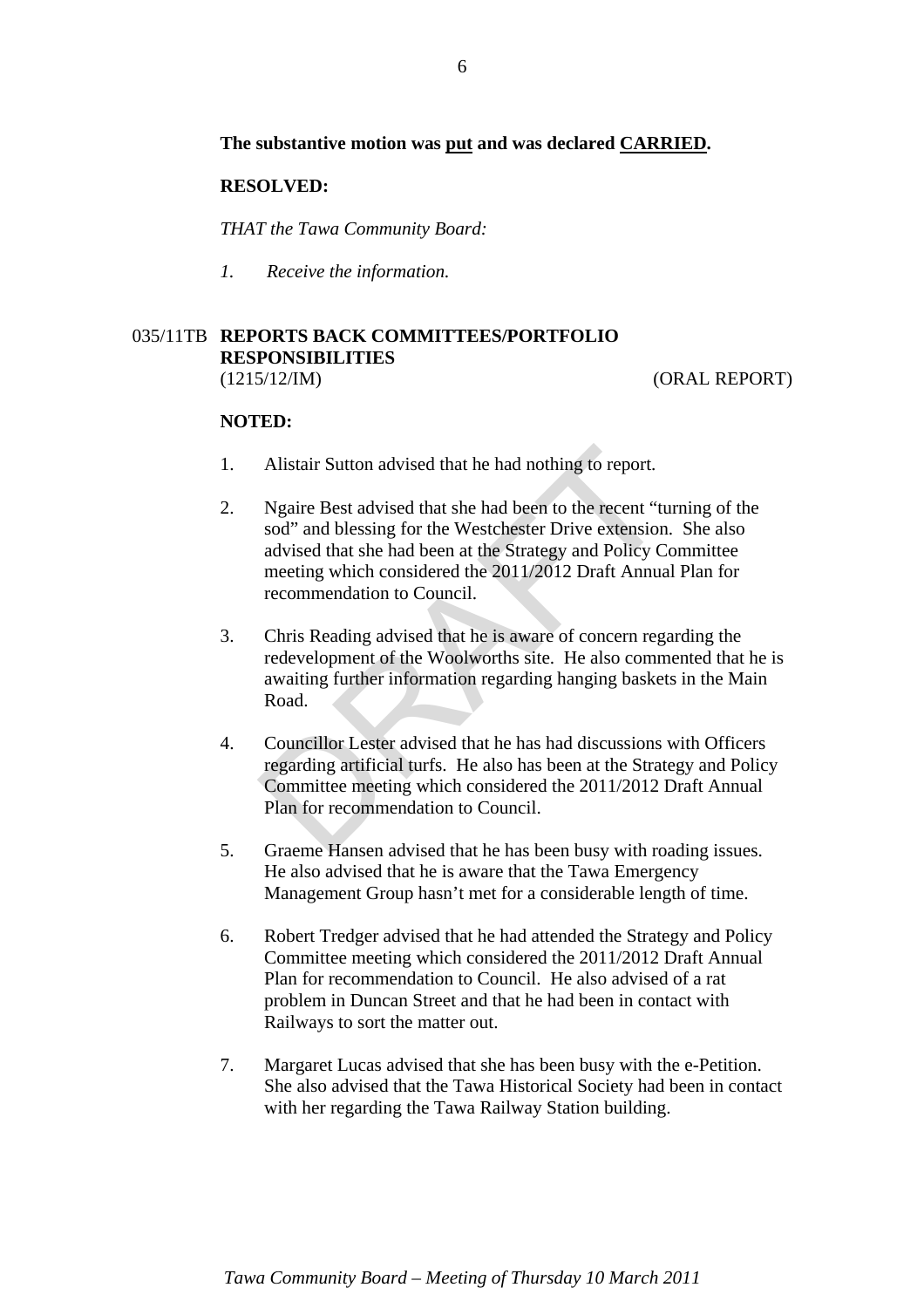#### **The substantive motion was put and was declared CARRIED.**

#### **RESOLVED:**

*THAT the Tawa Community Board:* 

*1. Receive the information.* 

### 035/11TB **REPORTS BACK COMMITTEES/PORTFOLIO RESPONSIBILITIES**

(1215/12/IM) (ORAL REPORT)

#### **NOTED:**

- 1. Alistair Sutton advised that he had nothing to report.
- Alistair Sutton advised that he had nothing to report.<br>Ngaire Best advised that she had been to the recent "tu<br>sod" and blessing for the Westchester Drive extension<br>advised that she had been at the Strategy and Policy C<br>me 2. Ngaire Best advised that she had been to the recent "turning of the sod" and blessing for the Westchester Drive extension. She also advised that she had been at the Strategy and Policy Committee meeting which considered the 2011/2012 Draft Annual Plan for recommendation to Council.
- 3. Chris Reading advised that he is aware of concern regarding the redevelopment of the Woolworths site. He also commented that he is awaiting further information regarding hanging baskets in the Main Road.
- 4. Councillor Lester advised that he has had discussions with Officers regarding artificial turfs. He also has been at the Strategy and Policy Committee meeting which considered the 2011/2012 Draft Annual Plan for recommendation to Council.
- 5. Graeme Hansen advised that he has been busy with roading issues. He also advised that he is aware that the Tawa Emergency Management Group hasn't met for a considerable length of time.
- 6. Robert Tredger advised that he had attended the Strategy and Policy Committee meeting which considered the 2011/2012 Draft Annual Plan for recommendation to Council. He also advised of a rat problem in Duncan Street and that he had been in contact with Railways to sort the matter out.
- 7. Margaret Lucas advised that she has been busy with the e-Petition. She also advised that the Tawa Historical Society had been in contact with her regarding the Tawa Railway Station building.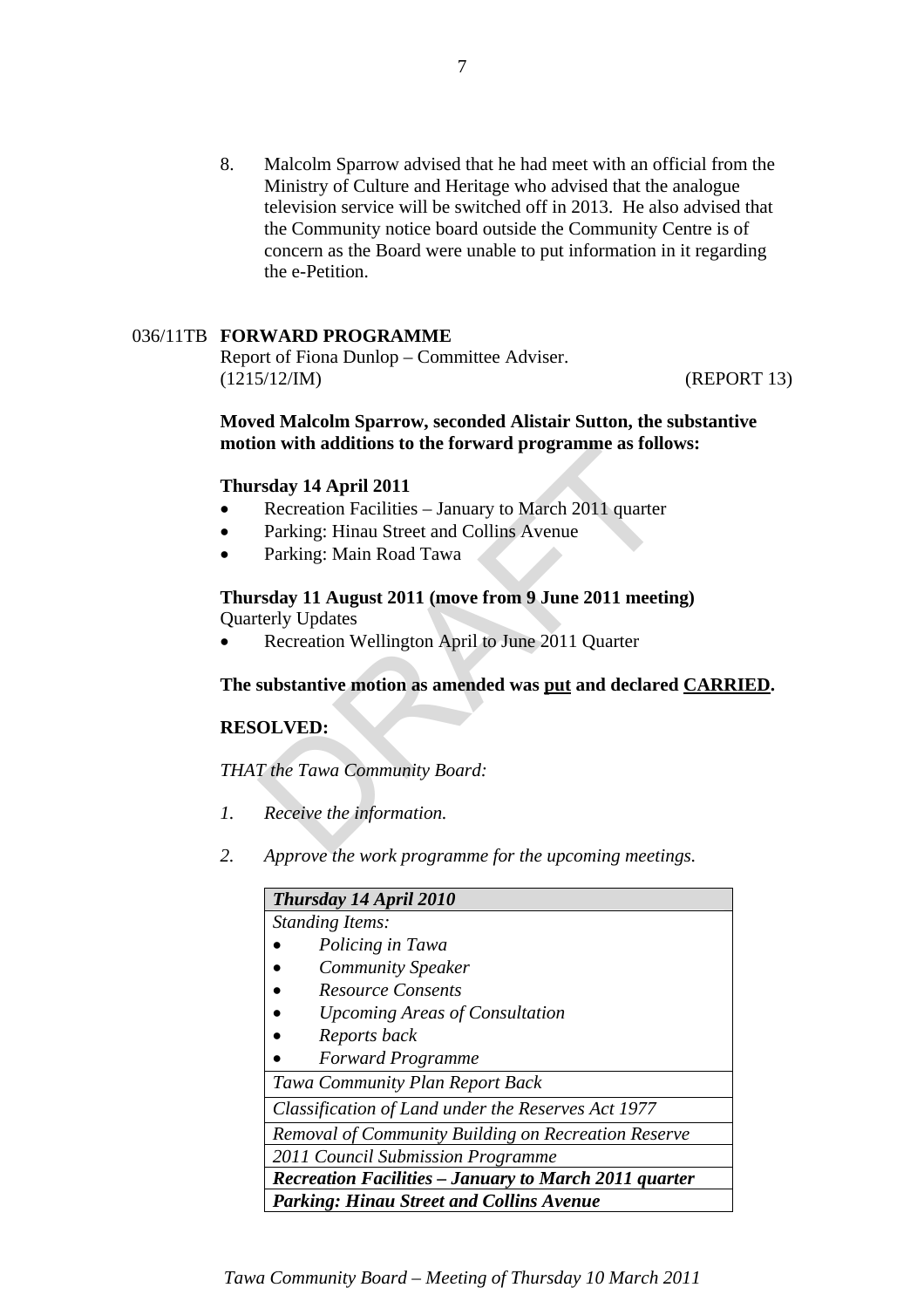8. Malcolm Sparrow advised that he had meet with an official from the Ministry of Culture and Heritage who advised that the analogue television service will be switched off in 2013. He also advised that the Community notice board outside the Community Centre is of concern as the Board were unable to put information in it regarding the e-Petition.

#### 036/11TB **FORWARD PROGRAMME**

Report of Fiona Dunlop – Committee Adviser. (1215/12/IM) (REPORT 13)

#### **Moved Malcolm Sparrow, seconded Alistair Sutton, the substantive motion with additions to the forward programme as follows:**

#### **Thursday 14 April 2011**

- Recreation Facilities January to March 2011 quarter
- Parking: Hinau Street and Collins Avenue
- Parking: Main Road Tawa

# on with additions to the forward programme as font<br>rsday 14 April 2011<br>Recreation Facilities – January to March 2011 quarter<br>Parking: Hinau Street and Collins Avenue<br>Parking: Main Road Tawa<br>rsday 11 August 2011 (move from **Thursday 11 August 2011 (move from 9 June 2011 meeting)**  Quarterly Updates

• Recreation Wellington April to June 2011 Quarter

#### **The substantive motion as amended was put and declared CARRIED.**

#### **RESOLVED:**

*THAT the Tawa Community Board:* 

- *1. Receive the information.*
- *2. Approve the work programme for the upcoming meetings.*

| Thursday 14 April 2010                                       |
|--------------------------------------------------------------|
| <b>Standing Items:</b>                                       |
| Policing in Tawa                                             |
| <b>Community Speaker</b>                                     |
| <b>Resource Consents</b>                                     |
| <b>Upcoming Areas of Consultation</b>                        |
| Reports back                                                 |
| <b>Forward Programme</b>                                     |
| Tawa Community Plan Report Back                              |
| Classification of Land under the Reserves Act 1977           |
| Removal of Community Building on Recreation Reserve          |
| 2011 Council Submission Programme                            |
| <b>Recreation Facilities – January to March 2011 quarter</b> |
| <b>Parking: Hinau Street and Collins Avenue</b>              |